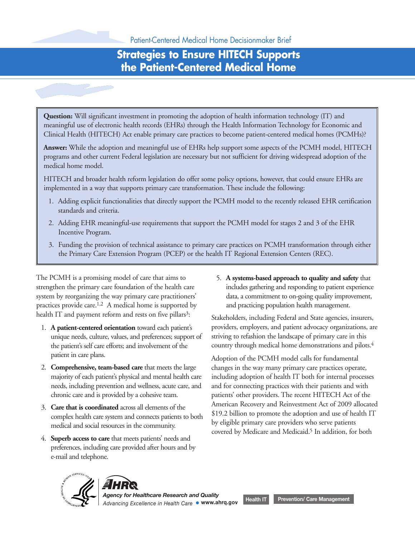## **Strategies to Ensure HITECH Supports the Patient-Centered Medical Home**

**Question:** Will significant investment in promoting the adoption of health information technology (IT) and meaningful use of electronic health records (EHRs) through the Health Information Technology for Economic and Clinical Health (HITECH) Act enable primary care practices to become patient-centered medical homes (PCMHs)?

**Answer:** While the adoption and meaningful use of EHRs help support some aspects of the PCMH model, HITECH programs and other current Federal legislation are necessary but not sufficient for driving widespread adoption of the medical home model.

HITECH and broader health reform legislation do offer some policy options, however, that could ensure EHRs are implemented in a way that supports primary care transformation. These include the following:

- 1. Adding explicit functionalities that directly support the PCMH model to the recently released EHR certification standards and criteria.
- 2. Adding EHR meaningful-use requirements that support the PCMH model for stages 2 and 3 of the EHR Incentive Program.
- 3. Funding the provision of technical assistance to primary care practices on PCMH transformation through either the Primary Care Extension Program (PCEP) or the health IT Regional Extension Centers (REC).

The PCMH is a promising model of care that aims to 5. **A systems-based approach to quality and safety** that strengthen the primary care foundation of the health care includes gathering and responding to patient experience system by reorganizing the way primary care practitioners' data, a commitment to on-going quality improvement, practices provide care.<sup>1,2</sup> A medical home is supported by and practicing population health management.

- 
- 2. **Comprehensive, team-based care** that meets the large changes in the way many primary care practices operate,
- 
- 4. **Superb access to care** that meets patients' needs and preferences, including care provided after hours and by e-mail and telephone.

health IT and payment reform and rests on five pillars<sup>3</sup>: Stakeholders, including Federal and State agencies, insurers, 1. **A patient-centered orientation** toward each patient's providers, employers, and patient advocacy organizations, are unique needs, culture, values, and preferences; support of striving to refashion the landscape of primary care in this the patient's self care efforts; and involvement of the country through medical home demonstrations and pilots.<sup>4</sup>

patient in care plans. Adoption of the PCMH model calls for fundamental majority of each patient's physical and mental health care including adoption of health IT both for internal processes needs, including prevention and wellness, acute care, and and for connecting practices with their patients and with chronic care and is provided by a cohesive team. patients' other providers. The recent HITECH Act of the 3. **Care that is coordinated** across all elements of the **3.3.** American Recovery and Reinvestment Act of 2009 allocated 3.3. **Care that is coordinated** across all elements of the **\$19.2** billion to promote the adoption an complex health care system and connects patients to both<br>medical and social resources in the community.<br>were patients overed by Medicare and Medicaid.<sup>5</sup> In addition, for both



*Advancing Excellence in Health Care* **www.ahrq.gov** *Agency for Healthcare Research and Quality* **Health IT Prevention/ Care Management**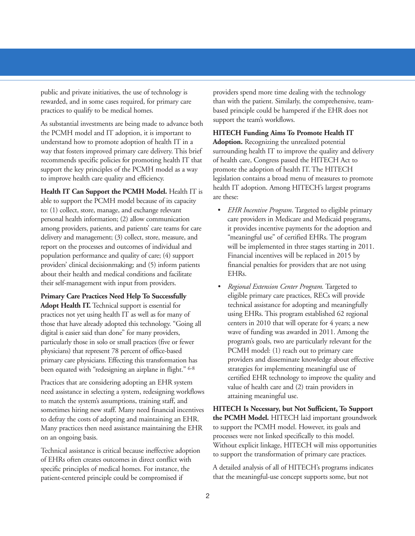support the team's workflows. As substantial investments are being made to advance both the PCMH model and IT adoption, it is important to **HITECH Funding Aims To Promote Health IT** understand how to promote adoption of health IT in a **Adoption.** Recognizing the unrealized potential way that fosters improved primary care delivery. This brief surrounding health IT to improve the quality and delivery recommends specific policies for promoting health IT that of health care, Congress passed the HITECH Act to support the key principles of the PCMH model as a way promote the adoption of health IT. The HITECH to improve health care quality and efficiency. legislation contains a broad menu of measures to promote

**Health IT Can Support the PCMH Model.** Health IT is health IT adoption. Among HITECH's largest programs are these: able to support the PCMH model because of its capacity to: (1) collect, store, manage, and exchange relevant • *EHR Incentive Program*. Targeted to eligible primary personal health information; (2) allow communication care providers in Medicare and Medicaid programs, among providers, patients, and patients' care teams for care it provides incentive payments for the adoption and delivery and management; (3) collect, store, measure, and "meaningful use" of certified EHRs. The program report on the processes and outcomes of individual and will be implemented in three stages starting in 2011. population performance and quality of care; (4) support Financial incentives will be replaced in 2015 by providers' clinical decisionmaking; and (5) inform patients financial penalties for providers that are not using about their health and medical conditions and facilitate EHRs. their self-management with input from providers. • *Regional Extension Center Program.* Targeted to

**Primary Care Practices Need Help To Successfully eligible primary care practices, RECs will provide** Adopt Health IT. Technical support is essential for technical assistance for adopting and meaningfully practices not yet using health IT as well as for many of using EHRs. This program established 62 regional those that have already adopted this technology. "Going all centers in 2010 that will operate for 4 years; a new digital is easier said than done" for many providers, wave of funding was awarded in 2011. Among the particularly those in solo or small practices (five or fewer program's goals, two are particularly relevant for the physicians) that represent 78 percent of office-based PCMH model: (1) reach out to primary care primary care physicians. Effecting this transformation has providers and disseminate knowledge about effective been equated with "redesigning an airplane in flight." <sup>6-8</sup> strategies for implementing meaningful use of

Practices that are considering adopting an EHR system<br>need assistance in selecting a system, redesigning workflows<br>to match the system's assumptions, training staff, and<br>training meaningful use. sometimes hiring new staff. Many need financial incentives **HITECH Is Necessary, but Not Sufficient, To Support** to defray the costs of adopting and maintaining an EHR. **the PCMH Model.** HITECH laid important groundwork Many practices then need assistance maintaining the EHR to support the PCMH model. However, its goals and on an ongoing basis. processes were not linked specifically to this model.

patient-centered principle could be compromised if that the meaningful-use concept supports some, but not

public and private initiatives, the use of technology is providers spend more time dealing with the technology rewarded, and in some cases required, for primary care than with the patient. Similarly, the comprehensive, teampractices to qualify to be medical homes. based principle could be hampered if the EHR does not

- 
- 

Vithout explicit linkage, HITECH will miss opportunities<br>of EHRs often creates outcomes in direct conflict with<br>of EHRs often creates outcomes in direct conflict with

specific principles of medical homes. For instance, the A detailed analysis of all of HITECH's programs indicates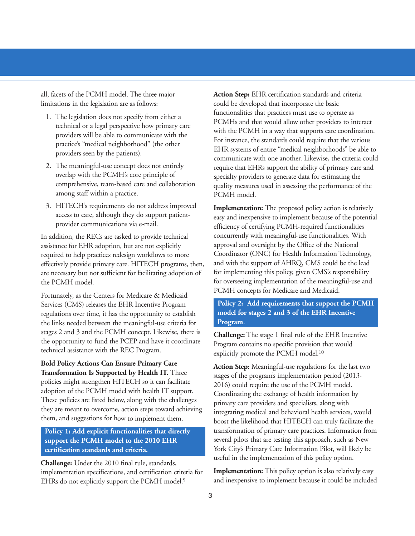- 
- among staff within a practice. The proof of a proof of position of position and position of position and position of position and position of position and position of position and position of position and position of posit
- 

assistance for EHR adoption, but are not explicitly approval and oversight by the Office of the National required to help practices redesign workflows to more Coordinator (ONC) for Health Information Technology, effectively provide primary care. HITECH programs, then, and with the support of AHRQ, CMS could be the lead are necessary but not sufficient for facilitating adoption of for implementing this policy, given CMS's responsibility the PCMH model. for overseeing implementation of the meaningful-use and

Fortunately, as the Centers for Medicare & Medicaid. PCMH concepts for Medicare and Medicaid. Services (CMS) releases the EHR Incentive Program regulations over time, it has the opportunity to establish the links needed between the meaningful-use criteria for stages 2 and 3 and the PCMH concept. Likewise, there is<br>the opportunity to fund the PCEP and have it coordinate<br>technical assistance with the REC Program.<br>explicitly promote the PCMH model.<sup>10</sup><br>explicitly promote the PCMH

**Policy 1: Add explicit functionalities that directly support the PCMH model to the 2010 EHR certification standards and criteria.**

implementation specifications, and certification criteria for **Implementation:** This policy option is also relatively easy EHRs do not explicitly support the PCMH model.<sup>9</sup> and inexpensive to implement because it could be included

all, facets of the PCMH model. The three major **Action Step:** EHR certification standards and criteria limitations in the legislation are as follows: could be developed that incorporate the basic 1. The legislation does not specify from either a<br>technical or a legal perspective how primary care<br>providers will be able to communicate with the<br>practice's "medical neighborhood" (the other<br>providers seen by the patients 2. The meaningful-use concept does not entirely require that EHRs support the ability of primary care and overlap with the PCMH's core principle of specialty providers to generate data for estimating the overlap with the PCMH's core principle of specialty providers to generate data for estimating the comprehensive, team-based care and collaboration quality measures used in assessing the performance of quality measures used in assessing the performance of the

3. HITECH's requirements do not address improved<br>access to care, although they do support patient-<br>provider communications via e-mail. efficiency of certifying PCMH-required functionalities In addition, the RECs are tasked to provide technical concurrently with meaningful-use functionalities. With

### **Policy 2: Add requirements that support the PCMH model for stages 2 and 3 of the EHR Incentive Program**.

**Bold Policy Actions Can Ensure Primary Care**<br> **Carlo Step:** Meaningful-use regulations for the last two<br> **CALC Transformation Is Supported by Health IT.** Three<br>
policies might strengthen HITECH so it can facilitate<br>
adopt transformation of primary care practices. Information from several pilots that are testing this approach, such as New York City's Primary Care Information Pilot, will likely be useful in the implementation of this policy option. **Challenge:** Under the 2010 final rule, standards,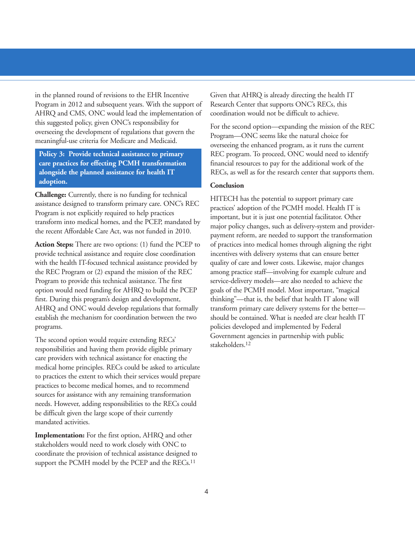in the planned round of revisions to the EHR Incentive Given that AHRQ is already directing the health IT Program in 2012 and subsequent years. With the support of Research Center that supports ONC's RECs, this AHRQ and CMS, ONC would lead the implementation of coordination would not be difficult to achieve. this suggested policy, given ONC's responsibility for<br>overseeing the development of regulations that govern the<br>meaningful-use criteria for Medicare and Medicaid.<br>overseeing the enhanced program, as it runs the current<br>ove

**adoption. Conclusion**

provide technical assistance and require close coordination incentives with delivery systems that can ensure better with the health IT-focused technical assistance provided by quality of care and lower costs. Likewise, major changes the REC Program or (2) expand the mission of the REC among practice staff—involving for example culture and Program to provide this technical assistance. The first service-delivery models—are also needed to achieve the option would need funding for AHRQ to build the PCEP goals of the PCMH model. Most important, "magical first. During this program's design and development, thinking"—that is, the belief that health IT alone will AHRQ and ONC would develop regulations that formally transform primary care delivery systems for the better establish the mechanism for coordination between the two should be contained. What is needed are clear health IT programs. policies developed and implemented by Federal

responsibilities and having them provide eligible primary care providers with technical assistance for enacting the medical home principles. RECs could be asked to articulate to practices the extent to which their services would prepare practices to become medical homes, and to recommend sources for assistance with any remaining transformation needs. However, adding responsibilities to the RECs could be difficult given the large scope of their currently mandated activities.

**Implementation:** For the first option, AHRQ and other stakeholders would need to work closely with ONC to coordinate the provision of technical assistance designed to support the PCMH model by the PCEP and the RECs.<sup>11</sup>

**Policy 3: Provide technical assistance to primary BEC program.** To proceed, ONC would need to identify **care practices for effecting PCMH transformation** financial resources to pay for the additional work of the **alongside the planned assistance for health IT** RECs, as well as for the research center that supports them.

**Challenge:** Currently, there is no funding for technical<br>assistance designed to transform primary care. ONC's REC<br>Program is not explicitly required to help practices<br>transform into medical homes, and the PCEP, mandated b **Action Steps:** There are two options: (1) fund the PCEP to of practices into medical homes through aligning the right The second option would require extending RECs' Government agencies in partnership with public stakeholders.<sup>12</sup>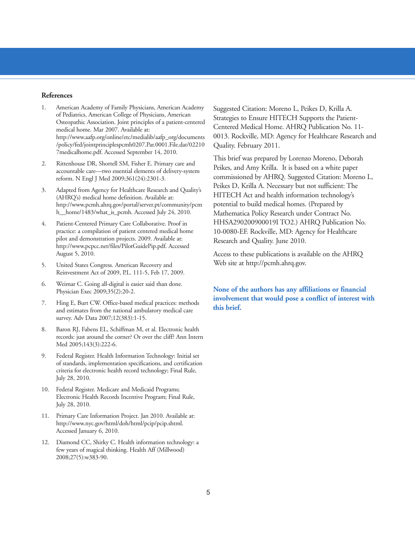### **References**

- 1. American Academy of Family Physicians, American Academy Suggested Citation: Moreno L, Peikes D, Krilla A.<br>6 Pediatrics, American College of Physicians, American Strategies to Ensure HITECH Supports the Patient-Osteopath /policy/fed/jointprinciplespcmh0207.Par.0001.File.dat/02210 Quality. February 2011. 7medicalhome.pdf. Accessed September 14, 2010.
- 
- (AHRQ's) medical home definition. Available at: HITECH Act and health information technology's http://www.pcmh.ahrq.gov/portal/server.pt/community/pcm potential to build medical homes. (Prepared by http://www.pcmh.ahrq.gov/portal/server.pt/community/pcm
- pilot and demonstration projects. 2009. Available at: Research and Quality. June 2010. http://www.pcpcc.net/files/PilotGuidePip.pdf. Accessed August 5, 2010. Access to these publications is available on the AHRQ
- 5. United States Congress. American Recovery and Web site at http://pcmh.ahrq.gov. Reinvestment Act of 2009, P.L. 111-5, Feb 17, 2009.
- 6. Weimar C. Going all-digital is easier said than done.
- survey. Adv Data 2007;12(383):1-15.
- 8. Baron RJ, Fabens EL, Schiffman M, et al. Electronic health records: just around the corner? Or over the cliff? Ann Intern Med 2005;143(3):222-6.
- 9. Federal Register. Health Information Technology: Initial set of standards, implementation specifications, and certification criteria for electronic health record technology; Final Rule, July 28, 2010.
- 10. Federal Register. Medicare and Medicaid Programs; Electronic Health Records Incentive Program; Final Rule, July 28, 2010.
- 11. Primary Care Information Project. Jan 2010. Available at: http://www.nyc.gov/html/doh/html/pcip/pcip.shtml. Accessed January 6, 2010.
- 12. Diamond CC, Shirky C. Health information technology: a few years of magical thinking. Health Aff (Millwood) 2008;27(5):w383-90.

medical home. Mar 2007. Available at: Centered Medical Home. AHRQ Publication No. 11 http://www.aafp.org/online/etc/medialib/aafp\_org/documents 0013. Rockville, MD: Agency for Healthcare Research and

2. Rittenhouse DR, Shortell SM, Fisher E. Primary care and 2. This brief was prepared by Lorenzo Moreno, Deborah 2. Rittenhouse DR, Shortell SM, Fisher E. Primary care and 2. Peikes, and Amy Krilla. It is based on a white reform. N Engl J Med 2009;361(24):2301-3. commissioned by AHRQ. Suggested Citation: Moreno L, 3. Adapted from Agency for Healthcare Research and Quality's Peikes D, Krilla A. Necessary but not sufficient: The h\_home/1483/what\_is\_pcmh. Accessed July 24, 2010. Mathematica Policy Research under Contract No. 4. Patient-Centered Primary Care Collaborative. Proof in HHSA290200900019I TO2.) AHRQ Publication No.<br>practice: a compilation of patient centered medical home 10-0080-EF. Rockville, MD: Agency for Healthcare practice: a compilation of patient centered medical home 10-0080-EF. Rockville, MD: Agency for Healthcare pilot and demonstration projects. 2009. Available at:

# None of the authors has any affiliations or financial **involvement that would pose a conflict of interest with** 7. Hing E, Burt CW. Office-based medical practices: methods **this brief.** and estimates from the national ambulatory medical care